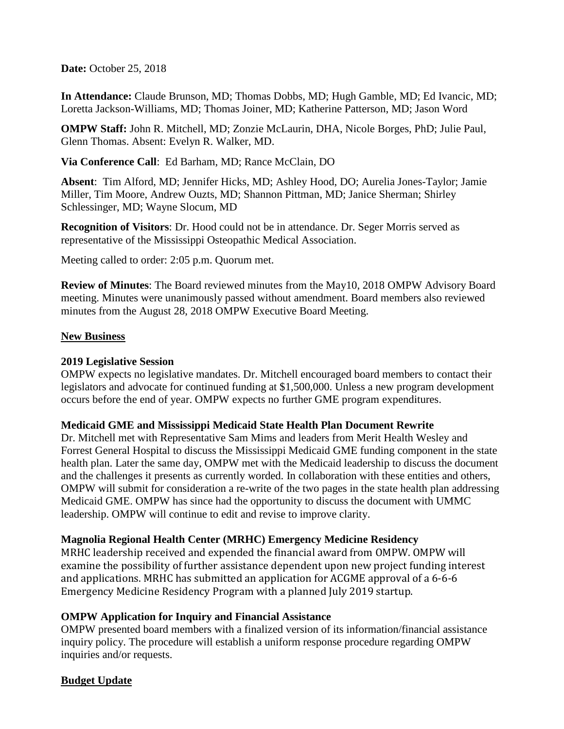**Date:** October 25, 2018

**In Attendance:** Claude Brunson, MD; Thomas Dobbs, MD; Hugh Gamble, MD; Ed Ivancic, MD; Loretta Jackson-Williams, MD; Thomas Joiner, MD; Katherine Patterson, MD; Jason Word

**OMPW Staff:** John R. Mitchell, MD; Zonzie McLaurin, DHA, Nicole Borges, PhD; Julie Paul, Glenn Thomas. Absent: Evelyn R. Walker, MD.

**Via Conference Call**: Ed Barham, MD; Rance McClain, DO

**Absent**: Tim Alford, MD; Jennifer Hicks, MD; Ashley Hood, DO; Aurelia Jones-Taylor; Jamie Miller, Tim Moore, Andrew Ouzts, MD; Shannon Pittman, MD; Janice Sherman; Shirley Schlessinger, MD; Wayne Slocum, MD

**Recognition of Visitors**: Dr. Hood could not be in attendance. Dr. Seger Morris served as representative of the Mississippi Osteopathic Medical Association.

Meeting called to order: 2:05 p.m. Quorum met.

**Review of Minutes**: The Board reviewed minutes from the May10, 2018 OMPW Advisory Board meeting. Minutes were unanimously passed without amendment. Board members also reviewed minutes from the August 28, 2018 OMPW Executive Board Meeting.

#### **New Business**

#### **2019 Legislative Session**

OMPW expects no legislative mandates. Dr. Mitchell encouraged board members to contact their legislators and advocate for continued funding at \$1,500,000. Unless a new program development occurs before the end of year. OMPW expects no further GME program expenditures.

#### **Medicaid GME and Mississippi Medicaid State Health Plan Document Rewrite**

Dr. Mitchell met with Representative Sam Mims and leaders from Merit Health Wesley and Forrest General Hospital to discuss the Mississippi Medicaid GME funding component in the state health plan. Later the same day, OMPW met with the Medicaid leadership to discuss the document and the challenges it presents as currently worded. In collaboration with these entities and others, OMPW will submit for consideration a re-write of the two pages in the state health plan addressing Medicaid GME. OMPW has since had the opportunity to discuss the document with UMMC leadership. OMPW will continue to edit and revise to improve clarity.

### **Magnolia Regional Health Center (MRHC) Emergency Medicine Residency**

MRHC leadership received and expended the financial award from OMPW. OMPW will examine the possibility of further assistance dependent upon new project funding interest and applications. MRHC has submitted an application for ACGME approval of a 6-6-6 Emergency Medicine Residency Program with a planned July 2019 startup.

### **OMPW Application for Inquiry and Financial Assistance**

OMPW presented board members with a finalized version of its information/financial assistance inquiry policy. The procedure will establish a uniform response procedure regarding OMPW inquiries and/or requests.

### **Budget Update**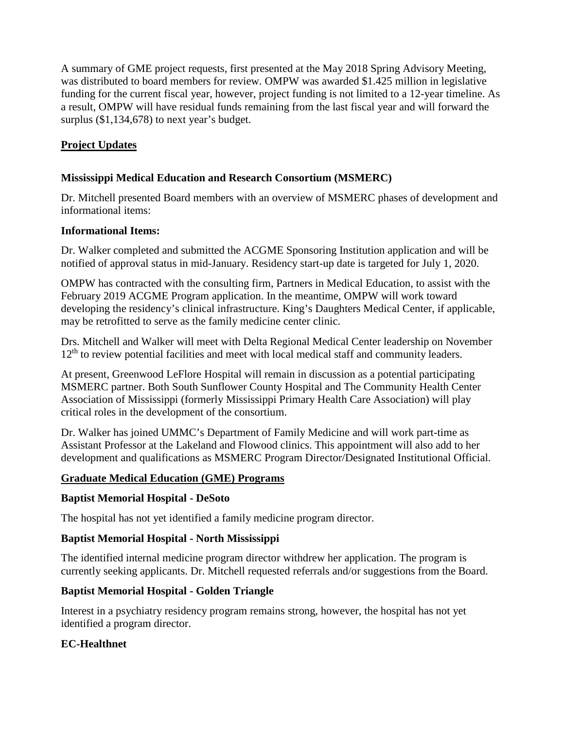A summary of GME project requests, first presented at the May 2018 Spring Advisory Meeting, was distributed to board members for review. OMPW was awarded \$1.425 million in legislative funding for the current fiscal year, however, project funding is not limited to a 12-year timeline. As a result, OMPW will have residual funds remaining from the last fiscal year and will forward the surplus (\$1,134,678) to next year's budget.

# **Project Updates**

# **Mississippi Medical Education and Research Consortium (MSMERC)**

Dr. Mitchell presented Board members with an overview of MSMERC phases of development and informational items:

### **Informational Items:**

Dr. Walker completed and submitted the ACGME Sponsoring Institution application and will be notified of approval status in mid-January. Residency start-up date is targeted for July 1, 2020.

OMPW has contracted with the consulting firm, Partners in Medical Education, to assist with the February 2019 ACGME Program application. In the meantime, OMPW will work toward developing the residency's clinical infrastructure. King's Daughters Medical Center, if applicable, may be retrofitted to serve as the family medicine center clinic.

Drs. Mitchell and Walker will meet with Delta Regional Medical Center leadership on November 12<sup>th</sup> to review potential facilities and meet with local medical staff and community leaders.

At present, Greenwood LeFlore Hospital will remain in discussion as a potential participating MSMERC partner. Both South Sunflower County Hospital and The Community Health Center Association of Mississippi (formerly Mississippi Primary Health Care Association) will play critical roles in the development of the consortium.

Dr. Walker has joined UMMC's Department of Family Medicine and will work part-time as Assistant Professor at the Lakeland and Flowood clinics. This appointment will also add to her development and qualifications as MSMERC Program Director/Designated Institutional Official.

### **Graduate Medical Education (GME) Programs**

### **Baptist Memorial Hospital - DeSoto**

The hospital has not yet identified a family medicine program director.

### **Baptist Memorial Hospital - North Mississippi**

The identified internal medicine program director withdrew her application. The program is currently seeking applicants. Dr. Mitchell requested referrals and/or suggestions from the Board.

### **Baptist Memorial Hospital - Golden Triangle**

Interest in a psychiatry residency program remains strong, however, the hospital has not yet identified a program director.

# **EC-Healthnet**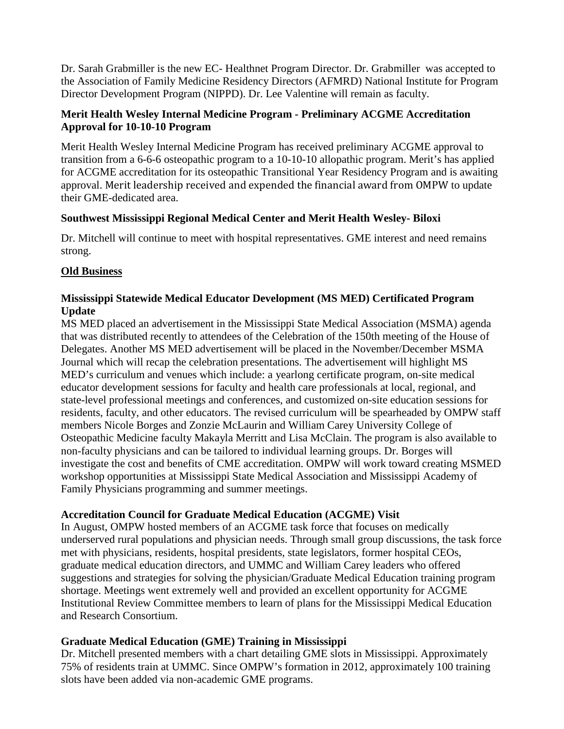Dr. Sarah Grabmiller is the new EC- Healthnet Program Director. Dr. Grabmiller was accepted to the Association of Family Medicine Residency Directors (AFMRD) National Institute for Program Director Development Program (NIPPD). Dr. Lee Valentine will remain as faculty.

### **Merit Health Wesley Internal Medicine Program - Preliminary ACGME Accreditation Approval for 10-10-10 Program**

Merit Health Wesley Internal Medicine Program has received preliminary ACGME approval to transition from a 6-6-6 osteopathic program to a 10-10-10 allopathic program. Merit's has applied for ACGME accreditation for its osteopathic Transitional Year Residency Program and is awaiting approval. Merit leadership received and expended the financial award from OMPW to update their GME-dedicated area.

#### **Southwest Mississippi Regional Medical Center and Merit Health Wesley- Biloxi**

Dr. Mitchell will continue to meet with hospital representatives. GME interest and need remains strong.

### **Old Business**

### **Mississippi Statewide Medical Educator Development (MS MED) Certificated Program Update**

MS MED placed an advertisement in the Mississippi State Medical Association (MSMA) agenda that was distributed recently to attendees of the Celebration of the 150th meeting of the House of Delegates. Another MS MED advertisement will be placed in the November/December MSMA Journal which will recap the celebration presentations. The advertisement will highlight MS MED's curriculum and venues which include: a yearlong certificate program, on-site medical educator development sessions for faculty and health care professionals at local, regional, and state-level professional meetings and conferences, and customized on-site education sessions for residents, faculty, and other educators. The revised curriculum will be spearheaded by OMPW staff members Nicole Borges and Zonzie McLaurin and William Carey University College of Osteopathic Medicine faculty Makayla Merritt and Lisa McClain. The program is also available to non-faculty physicians and can be tailored to individual learning groups. Dr. Borges will investigate the cost and benefits of CME accreditation. OMPW will work toward creating MSMED workshop opportunities at Mississippi State Medical Association and Mississippi Academy of Family Physicians programming and summer meetings.

### **Accreditation Council for Graduate Medical Education (ACGME) Visit**

In August, OMPW hosted members of an ACGME task force that focuses on medically underserved rural populations and physician needs. Through small group discussions, the task force met with physicians, residents, hospital presidents, state legislators, former hospital CEOs, graduate medical education directors, and UMMC and William Carey leaders who offered suggestions and strategies for solving the physician/Graduate Medical Education training program shortage. Meetings went extremely well and provided an excellent opportunity for ACGME Institutional Review Committee members to learn of plans for the Mississippi Medical Education and Research Consortium.

### **Graduate Medical Education (GME) Training in Mississippi**

Dr. Mitchell presented members with a chart detailing GME slots in Mississippi. Approximately 75% of residents train at UMMC. Since OMPW's formation in 2012, approximately 100 training slots have been added via non-academic GME programs.